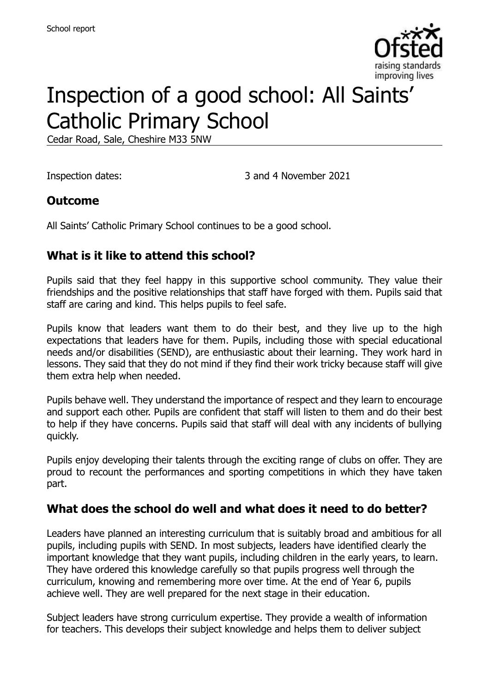

# Inspection of a good school: All Saints' Catholic Primary School

Cedar Road, Sale, Cheshire M33 5NW

Inspection dates: 3 and 4 November 2021

#### **Outcome**

All Saints' Catholic Primary School continues to be a good school.

#### **What is it like to attend this school?**

Pupils said that they feel happy in this supportive school community. They value their friendships and the positive relationships that staff have forged with them. Pupils said that staff are caring and kind. This helps pupils to feel safe.

Pupils know that leaders want them to do their best, and they live up to the high expectations that leaders have for them. Pupils, including those with special educational needs and/or disabilities (SEND), are enthusiastic about their learning. They work hard in lessons. They said that they do not mind if they find their work tricky because staff will give them extra help when needed.

Pupils behave well. They understand the importance of respect and they learn to encourage and support each other. Pupils are confident that staff will listen to them and do their best to help if they have concerns. Pupils said that staff will deal with any incidents of bullying quickly.

Pupils enjoy developing their talents through the exciting range of clubs on offer. They are proud to recount the performances and sporting competitions in which they have taken part.

#### **What does the school do well and what does it need to do better?**

Leaders have planned an interesting curriculum that is suitably broad and ambitious for all pupils, including pupils with SEND. In most subjects, leaders have identified clearly the important knowledge that they want pupils, including children in the early years, to learn. They have ordered this knowledge carefully so that pupils progress well through the curriculum, knowing and remembering more over time. At the end of Year 6, pupils achieve well. They are well prepared for the next stage in their education.

Subject leaders have strong curriculum expertise. They provide a wealth of information for teachers. This develops their subject knowledge and helps them to deliver subject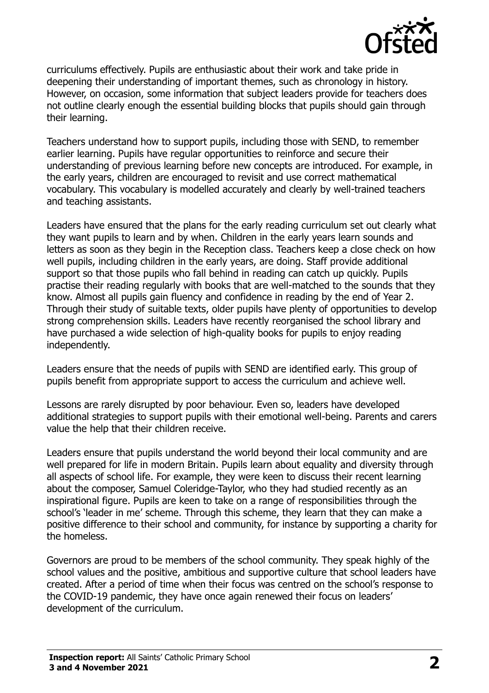

curriculums effectively. Pupils are enthusiastic about their work and take pride in deepening their understanding of important themes, such as chronology in history. However, on occasion, some information that subject leaders provide for teachers does not outline clearly enough the essential building blocks that pupils should gain through their learning.

Teachers understand how to support pupils, including those with SEND, to remember earlier learning. Pupils have regular opportunities to reinforce and secure their understanding of previous learning before new concepts are introduced. For example, in the early years, children are encouraged to revisit and use correct mathematical vocabulary. This vocabulary is modelled accurately and clearly by well-trained teachers and teaching assistants.

Leaders have ensured that the plans for the early reading curriculum set out clearly what they want pupils to learn and by when. Children in the early years learn sounds and letters as soon as they begin in the Reception class. Teachers keep a close check on how well pupils, including children in the early years, are doing. Staff provide additional support so that those pupils who fall behind in reading can catch up quickly. Pupils practise their reading regularly with books that are well-matched to the sounds that they know. Almost all pupils gain fluency and confidence in reading by the end of Year 2. Through their study of suitable texts, older pupils have plenty of opportunities to develop strong comprehension skills. Leaders have recently reorganised the school library and have purchased a wide selection of high-quality books for pupils to enjoy reading independently.

Leaders ensure that the needs of pupils with SEND are identified early. This group of pupils benefit from appropriate support to access the curriculum and achieve well.

Lessons are rarely disrupted by poor behaviour. Even so, leaders have developed additional strategies to support pupils with their emotional well-being. Parents and carers value the help that their children receive.

Leaders ensure that pupils understand the world beyond their local community and are well prepared for life in modern Britain. Pupils learn about equality and diversity through all aspects of school life. For example, they were keen to discuss their recent learning about the composer, Samuel Coleridge-Taylor, who they had studied recently as an inspirational figure. Pupils are keen to take on a range of responsibilities through the school's 'leader in me' scheme. Through this scheme, they learn that they can make a positive difference to their school and community, for instance by supporting a charity for the homeless.

Governors are proud to be members of the school community. They speak highly of the school values and the positive, ambitious and supportive culture that school leaders have created. After a period of time when their focus was centred on the school's response to the COVID-19 pandemic, they have once again renewed their focus on leaders' development of the curriculum.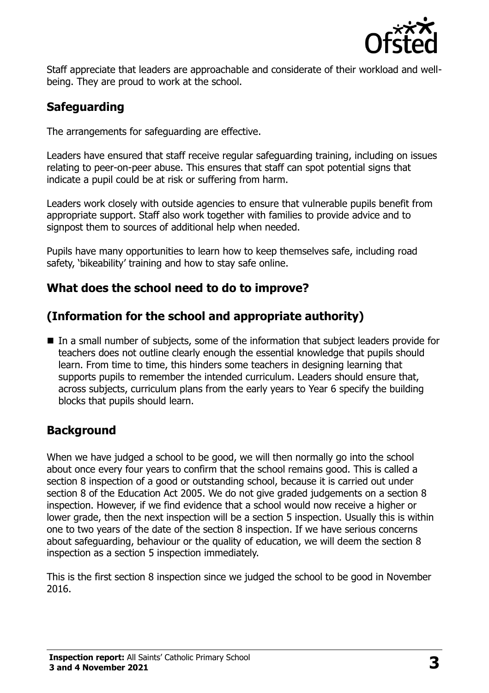

Staff appreciate that leaders are approachable and considerate of their workload and wellbeing. They are proud to work at the school.

# **Safeguarding**

The arrangements for safeguarding are effective.

Leaders have ensured that staff receive regular safeguarding training, including on issues relating to peer-on-peer abuse. This ensures that staff can spot potential signs that indicate a pupil could be at risk or suffering from harm.

Leaders work closely with outside agencies to ensure that vulnerable pupils benefit from appropriate support. Staff also work together with families to provide advice and to signpost them to sources of additional help when needed.

Pupils have many opportunities to learn how to keep themselves safe, including road safety, 'bikeability' training and how to stay safe online.

# **What does the school need to do to improve?**

# **(Information for the school and appropriate authority)**

■ In a small number of subjects, some of the information that subject leaders provide for teachers does not outline clearly enough the essential knowledge that pupils should learn. From time to time, this hinders some teachers in designing learning that supports pupils to remember the intended curriculum. Leaders should ensure that, across subjects, curriculum plans from the early years to Year 6 specify the building blocks that pupils should learn.

# **Background**

When we have judged a school to be good, we will then normally go into the school about once every four years to confirm that the school remains good. This is called a section 8 inspection of a good or outstanding school, because it is carried out under section 8 of the Education Act 2005. We do not give graded judgements on a section 8 inspection. However, if we find evidence that a school would now receive a higher or lower grade, then the next inspection will be a section 5 inspection. Usually this is within one to two years of the date of the section 8 inspection. If we have serious concerns about safeguarding, behaviour or the quality of education, we will deem the section 8 inspection as a section 5 inspection immediately.

This is the first section 8 inspection since we judged the school to be good in November 2016.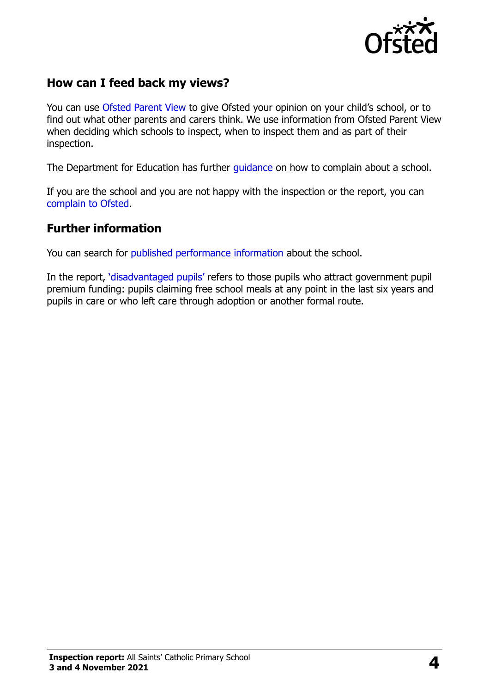

#### **How can I feed back my views?**

You can use [Ofsted Parent View](https://parentview.ofsted.gov.uk/) to give Ofsted your opinion on your child's school, or to find out what other parents and carers think. We use information from Ofsted Parent View when deciding which schools to inspect, when to inspect them and as part of their inspection.

The Department for Education has further quidance on how to complain about a school.

If you are the school and you are not happy with the inspection or the report, you can [complain to Ofsted.](https://www.gov.uk/complain-ofsted-report)

#### **Further information**

You can search for [published performance information](http://www.compare-school-performance.service.gov.uk/) about the school.

In the report, '[disadvantaged pupils](http://www.gov.uk/guidance/pupil-premium-information-for-schools-and-alternative-provision-settings)' refers to those pupils who attract government pupil premium funding: pupils claiming free school meals at any point in the last six years and pupils in care or who left care through adoption or another formal route.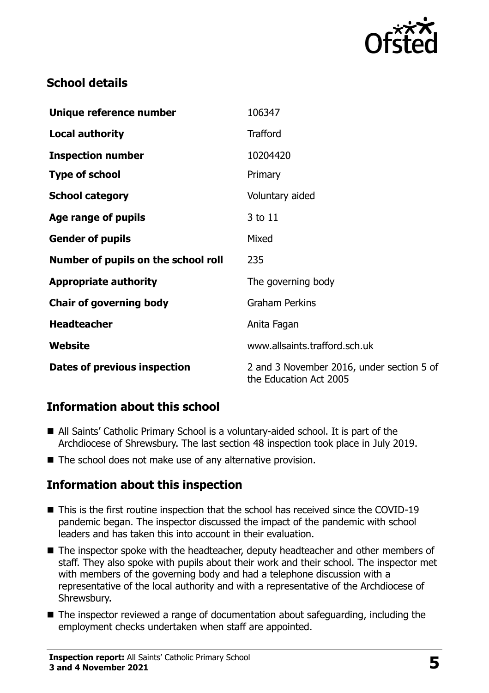

# **School details**

| Unique reference number             | 106347                                                              |
|-------------------------------------|---------------------------------------------------------------------|
| <b>Local authority</b>              | <b>Trafford</b>                                                     |
| <b>Inspection number</b>            | 10204420                                                            |
| <b>Type of school</b>               | Primary                                                             |
| <b>School category</b>              | Voluntary aided                                                     |
| Age range of pupils                 | 3 to 11                                                             |
| <b>Gender of pupils</b>             | Mixed                                                               |
| Number of pupils on the school roll | 235                                                                 |
| <b>Appropriate authority</b>        | The governing body                                                  |
| <b>Chair of governing body</b>      | <b>Graham Perkins</b>                                               |
| <b>Headteacher</b>                  | Anita Fagan                                                         |
| Website                             | www.allsaints.trafford.sch.uk                                       |
| Dates of previous inspection        | 2 and 3 November 2016, under section 5 of<br>the Education Act 2005 |

# **Information about this school**

- All Saints' Catholic Primary School is a voluntary-aided school. It is part of the Archdiocese of Shrewsbury. The last section 48 inspection took place in July 2019.
- The school does not make use of any alternative provision.

#### **Information about this inspection**

- This is the first routine inspection that the school has received since the COVID-19 pandemic began. The inspector discussed the impact of the pandemic with school leaders and has taken this into account in their evaluation.
- The inspector spoke with the headteacher, deputy headteacher and other members of staff. They also spoke with pupils about their work and their school. The inspector met with members of the governing body and had a telephone discussion with a representative of the local authority and with a representative of the Archdiocese of Shrewsbury.
- The inspector reviewed a range of documentation about safeguarding, including the employment checks undertaken when staff are appointed.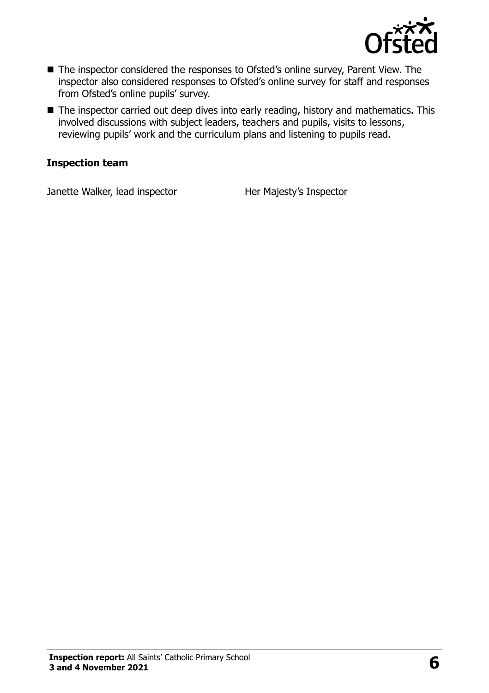

- The inspector considered the responses to Ofsted's online survey, Parent View. The inspector also considered responses to Ofsted's online survey for staff and responses from Ofsted's online pupils' survey.
- The inspector carried out deep dives into early reading, history and mathematics. This involved discussions with subject leaders, teachers and pupils, visits to lessons, reviewing pupils' work and the curriculum plans and listening to pupils read.

#### **Inspection team**

Janette Walker, lead inspector **Her Majesty's Inspector**